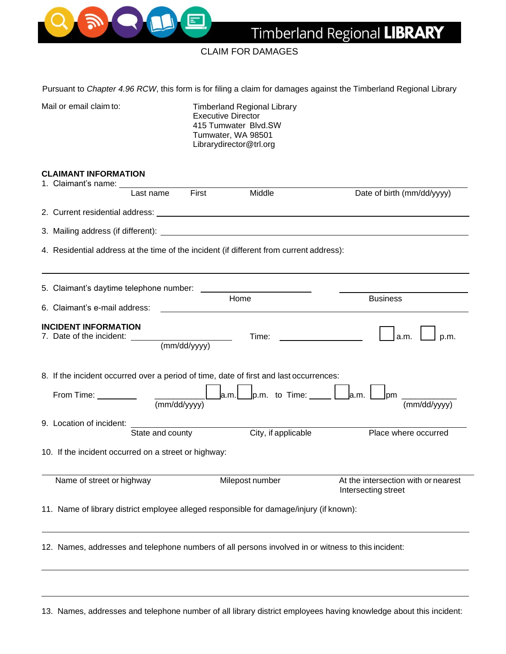

## CLAIM FOR DAMAGES

Pursuant to *Chapter 4.96 RCW*, this form is for filing a claim for damages against the Timberland Regional Library

Mail or email claim to: Timberland Regional Library Executive Director 415 Tumwater Blvd.SW Tumwater, WA 98501 Librarydirector@trl.org

## **CLAIMANT INFORMATION**

| 1. Claimant's name: ___                                                                 |                          |              |                                                                                         |                                                                                                    |
|-----------------------------------------------------------------------------------------|--------------------------|--------------|-----------------------------------------------------------------------------------------|----------------------------------------------------------------------------------------------------|
|                                                                                         | Last name                | First        | Middle                                                                                  | Date of birth (mm/dd/yyyy)                                                                         |
|                                                                                         |                          |              |                                                                                         |                                                                                                    |
|                                                                                         |                          |              |                                                                                         |                                                                                                    |
|                                                                                         |                          |              | 4. Residential address at the time of the incident (if different from current address): |                                                                                                    |
| 5. Claimant's daytime telephone number: ______                                          |                          |              |                                                                                         |                                                                                                    |
| 6. Claimant's e-mail address:                                                           |                          |              | Home                                                                                    | <b>Business</b>                                                                                    |
| <b>INCIDENT INFORMATION</b><br>7. Date of the incident: ______                          |                          | (mm/dd/yyyy) | Time:                                                                                   | a.m.<br>p.m.                                                                                       |
| From Time:                                                                              | $\frac{1}{(mm/dd/yyyy)}$ |              | 8. If the incident occurred over a period of time, date of first and last occurrences:  | $J$ p.m. $\_$<br>(mm/dd/yyyy)                                                                      |
| 9. Location of incident:                                                                | State and county         |              | City, if applicable                                                                     | Place where occurred                                                                               |
| 10. If the incident occurred on a street or highway:                                    |                          |              |                                                                                         |                                                                                                    |
| Name of street or highway                                                               |                          |              | Milepost number                                                                         | At the intersection with or nearest<br>Intersecting street                                         |
| 11. Name of library district employee alleged responsible for damage/injury (if known): |                          |              |                                                                                         |                                                                                                    |
|                                                                                         |                          |              |                                                                                         | 12. Names, addresses and telephone numbers of all persons involved in or witness to this incident: |

13. Names, addresses and telephone number of all library district employees having knowledge about this incident: